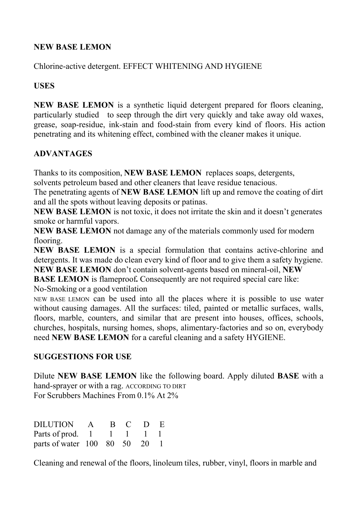## **NEW BASE LEMON**

Chlorine-active detergent. EFFECT WHITENING AND HYGIENE

## **USES**

**NEW BASE LEMON** is a synthetic liquid detergent prepared for floors cleaning, particularly studied to seep through the dirt very quickly and take away old waxes, grease, soap-residue, ink-stain and food-stain from every kind of floors. His action penetrating and its whitening effect, combined with the cleaner makes it unique.

# **ADVANTAGES**

Thanks to its composition, **NEW BASE LEMON** replaces soaps, detergents, solvents petroleum based and other cleaners that leave residue tenacious.

The penetrating agents of **NEW BASE LEMON** lift up and remove the coating of dirt and all the spots without leaving deposits or patinas.

**NEW BASE LEMON** is not toxic, it does not irritate the skin and it doesn't generates smoke or harmful vapors.

**NEW BASE LEMON** not damage any of the materials commonly used for modern flooring.

**NEW BASE LEMON** is a special formulation that contains active-chlorine and detergents. It was made do clean every kind of floor and to give them a safety hygiene. **NEW BASE LEMON** don't contain solvent-agents based on mineral-oil, **NEW**

**BASE LEMON** is flameproof. Consequently are not required special care like: No-Smoking or a good ventilation

NEW BASE LEMON can be used into all the places where it is possible to use water without causing damages. All the surfaces: tiled, painted or metallic surfaces, walls, floors, marble, counters, and similar that are present into houses, offices, schools, churches, hospitals, nursing homes, shops, alimentary-factories and so on, everybody need **NEW BASE LEMON** for a careful cleaning and a safety HYGIENE.

# **SUGGESTIONS FOR USE**

Dilute **NEW BASE LEMON** like the following board. Apply diluted **BASE** with a hand-sprayer or with a rag. ACCORDING TO DIRT For Scrubbers Machines From 0.1% At 2%

| <b>DILUTION</b>               | $\mathbf{A}$ |  | B C D E                     |  |
|-------------------------------|--------------|--|-----------------------------|--|
| Parts of prod. 1              |              |  | $1 \quad 1 \quad 1 \quad 1$ |  |
| parts of water 100 80 50 20 1 |              |  |                             |  |

Cleaning and renewal of the floors, linoleum tiles, rubber, vinyl, floors in marble and